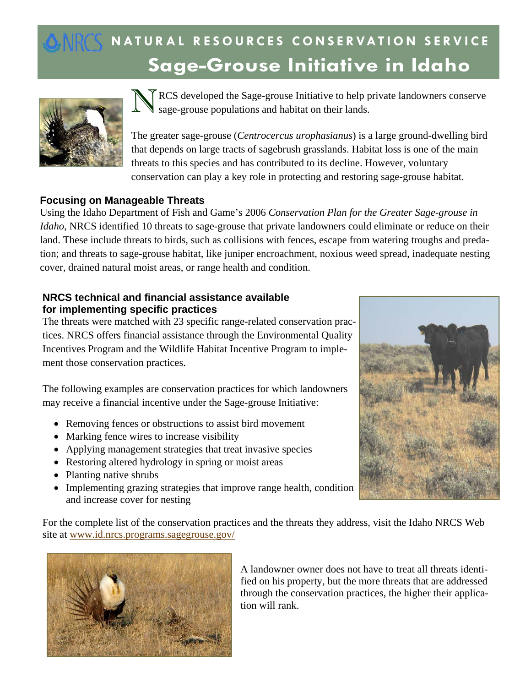# **Sage-Grouse Initiative in Idaho NATURAL RESOURCES CONSERVATION SERVICE**



RCS developed the Sage-grouse Initiative to help private landowners conserve sage-grouse populations and habitat on their lands.

The greater sage-grouse (*Centrocercus urophasianus*) is a large ground-dwelling bird that depends on large tracts of sagebrush grasslands. Habitat loss is one of the main threats to this species and has contributed to its decline. However, voluntary conservation can play a key role in protecting and restoring sage-grouse habitat.

## **Focusing on Manageable Threats**

Using the Idaho Department of Fish and Game's 2006 *Conservation Plan for the Greater Sage-grouse in Idaho*, NRCS identified 10 threats to sage-grouse that private landowners could eliminate or reduce on their land. These include threats to birds, such as collisions with fences, escape from watering troughs and predation; and threats to sage-grouse habitat, like juniper encroachment, noxious weed spread, inadequate nesting cover, drained natural moist areas, or range health and condition.

### **NRCS technical and financial assistance available for implementing specific practices**

The threats were matched with 23 specific range-related conservation practices. NRCS offers financial assistance through the Environmental Quality Incentives Program and the Wildlife Habitat Incentive Program to implement those conservation practices.

The following examples are conservation practices for which landowners may receive a financial incentive under the Sage-grouse Initiative:

- Removing fences or obstructions to assist bird movement
- Marking fence wires to increase visibility
- Applying management strategies that treat invasive species
- Restoring altered hydrology in spring or moist areas
- Planting native shrubs
- Implementing grazing strategies that improve range health, condition and increase cover for nesting



For the complete list of the conservation practices and the threats they address, visit the Idaho NRCS Web site at www.id.nrcs.programs.sagegrouse.gov/



A landowner owner does not have to treat all threats identified on his property, but the more threats that are addressed through the conservation practices, the higher their application will rank.